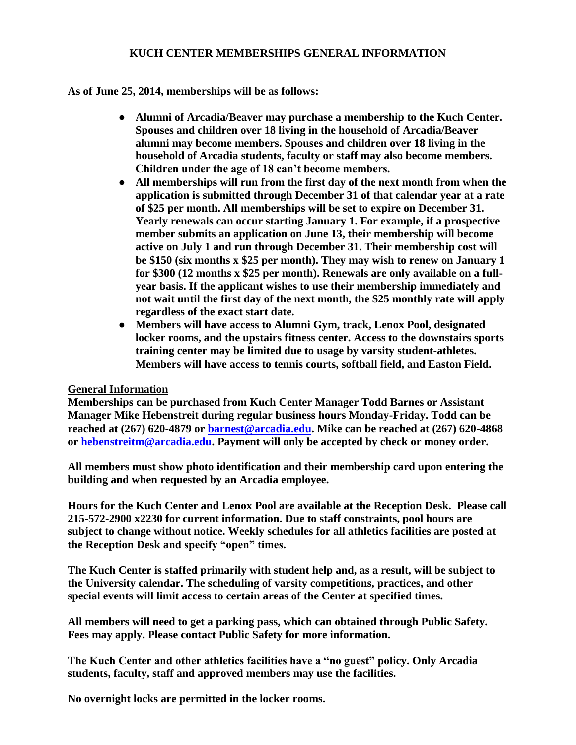## **KUCH CENTER MEMBERSHIPS GENERAL INFORMATION**

**As of June 25, 2014, memberships will be as follows:**

- **Alumni of Arcadia/Beaver may purchase a membership to the Kuch Center. Spouses and children over 18 living in the household of Arcadia/Beaver alumni may become members. Spouses and children over 18 living in the household of Arcadia students, faculty or staff may also become members. Children under the age of 18 can't become members.**
- **All memberships will run from the first day of the next month from when the application is submitted through December 31 of that calendar year at a rate of \$25 per month. All memberships will be set to expire on December 31. Yearly renewals can occur starting January 1. For example, if a prospective member submits an application on June 13, their membership will become active on July 1 and run through December 31. Their membership cost will be \$150 (six months x \$25 per month). They may wish to renew on January 1 for \$300 (12 months x \$25 per month). Renewals are only available on a fullyear basis. If the applicant wishes to use their membership immediately and not wait until the first day of the next month, the \$25 monthly rate will apply regardless of the exact start date.**
- **Members will have access to Alumni Gym, track, Lenox Pool, designated locker rooms, and the upstairs fitness center. Access to the downstairs sports training center may be limited due to usage by varsity student-athletes. Members will have access to tennis courts, softball field, and Easton Field.**

## **General Information**

**Memberships can be purchased from Kuch Center Manager Todd Barnes or Assistant Manager Mike Hebenstreit during regular business hours Monday-Friday. Todd can be reached at (267) 620-4879 or [barnest@arcadia.edu.](mailto:barnest@arcadia.edu) Mike can be reached at (267) 620-4868 or [hebenstreitm@arcadia.edu.](mailto:hebenstreitm@arcadia.edu) Payment will only be accepted by check or money order.**

**All members must show photo identification and their membership card upon entering the building and when requested by an Arcadia employee.**

**Hours for the Kuch Center and Lenox Pool are available at the Reception Desk. Please call 215-572-2900 x2230 for current information. Due to staff constraints, pool hours are subject to change without notice. Weekly schedules for all athletics facilities are posted at the Reception Desk and specify "open" times.**

**The Kuch Center is staffed primarily with student help and, as a result, will be subject to the University calendar. The scheduling of varsity competitions, practices, and other special events will limit access to certain areas of the Center at specified times.**

**All members will need to get a parking pass, which can obtained through Public Safety. Fees may apply. Please contact Public Safety for more information.**

**The Kuch Center and other athletics facilities have a "no guest" policy. Only Arcadia students, faculty, staff and approved members may use the facilities.**

**No overnight locks are permitted in the locker rooms.**